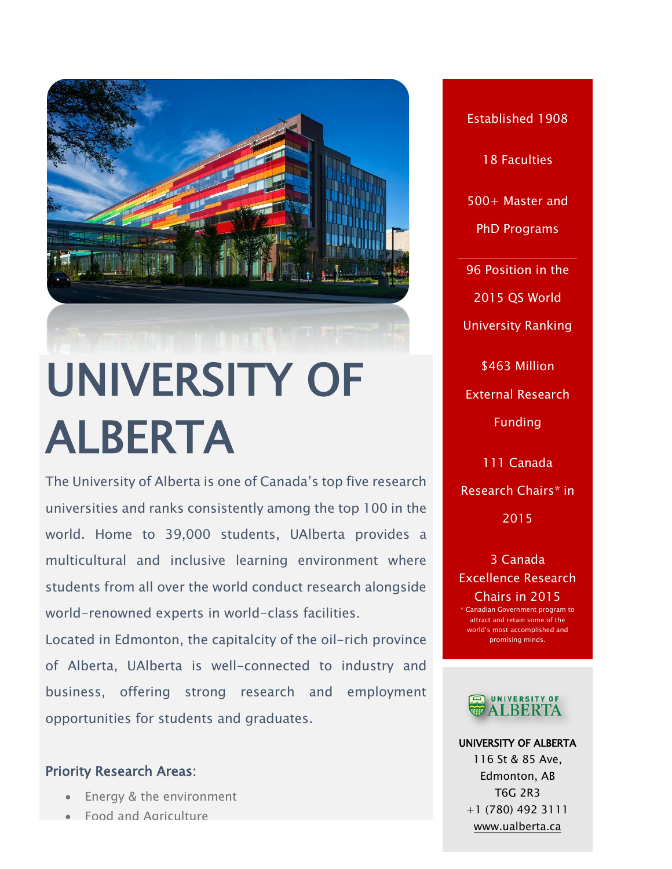

The University of Alberta is one of Canada's top five research universities and ranks consistently among the top 100 in the world. Home to 39,000 students, UAlberta provides a multicultural and inclusive learning environment where students from all over the world conduct research alongside world-renowned experts in world-class facilities.

Located in Edmonton, the capitalcity of the oil-rich province of Alberta, UAlberta is well-connected to industry and business, offering strong research and employment opportunities for students and graduates.

#### Priority Research Areas:

- Energy & the environment
- Food and Agriculture

Established 1908 18 Faculties 500+ Master and PhD Programs 96 Position in the 2015 QS World University Ranking \$463 Million External Research Funding

111 Canada Research Chairs\* in 2015

3 Canada Excellence Research Chairs in 2015 Canadian Government program to attract and retain some of the world's most accomplished and promising minds.



UNIVERSITY OF ALBERTA 116 St & 85 Ave, Edmonton, AB T6G 2R3 +1 (780) 492 3111 [www.ualberta.ca](file:///C:/Users/Paulo%20Carvalho/Desktop/CALDO%20BROCHURE/www.ualberta.ca)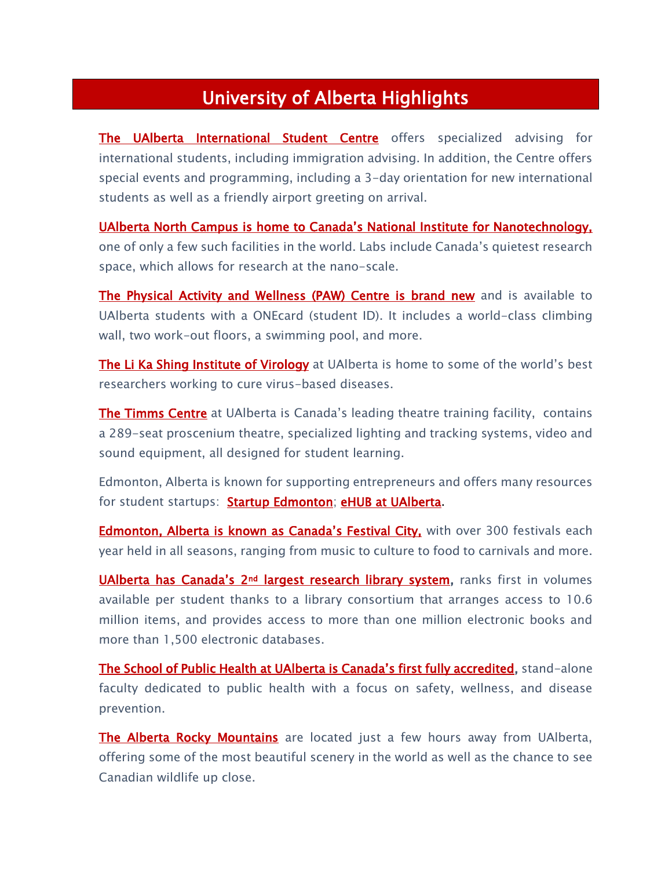# University of Alberta Highlights

[The UAlberta International Student Centre](http://www.iss.ualberta.ca/) offers specialized advising for international students, including immigration advising. In addition, the Centre offers special events and programming, including a 3-day orientation for new international students as well as a friendly airport greeting on arrival.

[UAlberta North Campus is home to Canada's National Institute for Nanotechnology,](http://www.nint-innt.ca/) one of only a few such facilities in the world. Labs include Canada's quietest research space, which allows for research at the nano-scale.

[The Physical Activity and Wellness \(PAW\) Centre is brand new](http://www.physedandrec.ualberta.ca/Facilities.aspx) and is available to UAlberta students with a ONEcard (student ID). It includes a world-class climbing wall, two work-out floors, a swimming pool, and more.

[The Li Ka Shing Institute of Virology](http://likashingvirology.med.ualberta.ca/) at UAlberta is home to some of the world's best researchers working to cure virus-based diseases.

[The Timms Centre](http://timmscentre.ca/) at UAIberta is Canada's leading theatre training facility, contains a 289-seat proscenium theatre, specialized lighting and tracking systems, video and sound equipment, all designed for student learning.

Edmonton, Alberta is known for supporting entrepreneurs and offers many resources for student startups: [Startup Edmonton;](http://www.startupedmonton.com/students/) [eHUB at UAlberta.](http://entrepreneurship.ualberta.ca/ehub)

**[Edmonton, Alberta is known as Canada's Festival City,](http://www.edmonton.ca/attractions_events/schedule-festivals-events.aspx) with over 300 festivals each** year held in all seasons, ranging from music to culture to food to carnivals and more.

UAlberta has Canada's 2<sup>nd</sup> [largest research library system,](https://www.library.ualberta.ca/) ranks first in volumes available per student thanks to a library consortium that arranges access to 10.6 million items, and provides access to more than one million electronic books and more than 1,500 electronic databases.

[The School of Public Health at UAlberta is Cana](https://uofa.ualberta.ca/public-health)da's first fully accredited, stand-alone faculty dedicated to public health with a focus on safety, wellness, and disease prevention.

[The Alberta Rocky Mountains](http://travelalberta.com/Places%20to%20Go/Regions/Canadian%20Rockies.aspx) are located just a few hours away from UAlberta, offering some of the most beautiful scenery in the world as well as the chance to see Canadian wildlife up close.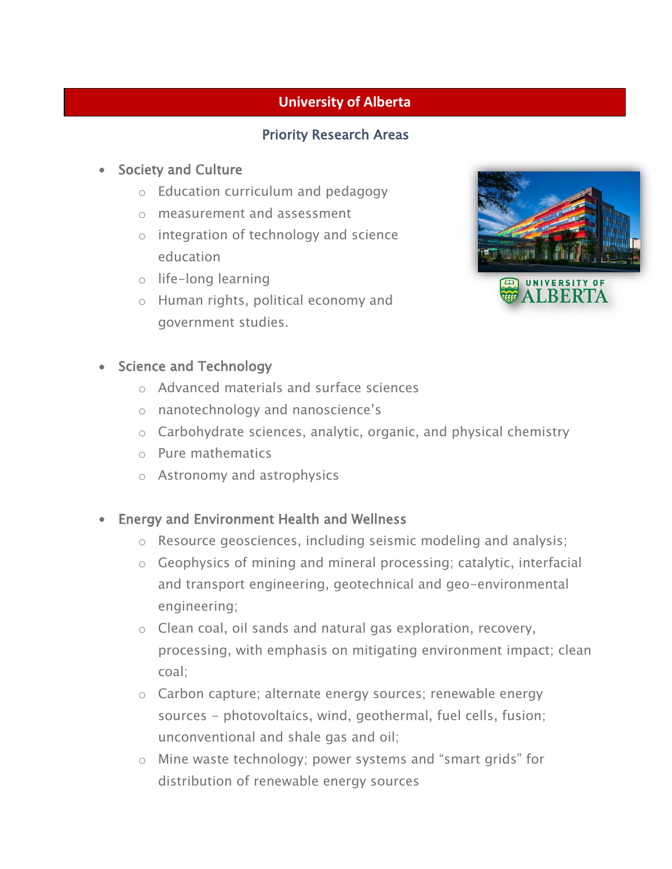# **University of Alberta**

### Priority Research Areas

#### Society and Culture

- o Education curriculum and pedagogy
- o measurement and assessment
- o integration of technology and science education
- o life-long learning
- o Human rights, political economy and government studies.



#### • Science and Technology

- o Advanced materials and surface sciences
- o nanotechnology and nanoscience's
- o Carbohydrate sciences, analytic, organic, and physical chemistry
- o Pure mathematics
- o Astronomy and astrophysics
- Energy and Environment Health and Wellness
	- o Resource geosciences, including seismic modeling and analysis;
	- o Geophysics of mining and mineral processing; catalytic, interfacial and transport engineering, geotechnical and geo-environmental engineering;
	- o Clean coal, oil sands and natural gas exploration, recovery, processing, with emphasis on mitigating environment impact; clean coal;
	- o Carbon capture; alternate energy sources; renewable energy sources - photovoltaics, wind, geothermal, fuel cells, fusion; unconventional and shale gas and oil;
	- o Mine waste technology; power systems and "smart grids" for distribution of renewable energy sources